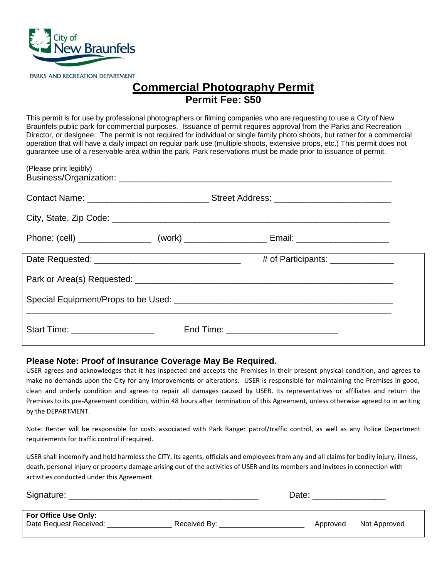

PARKS AND RECREATION DEPARTMENT

## **Commercial Photography Permit Permit Fee: \$50**

This permit is for use by professional photographers or filming companies who are requesting to use a City of New Braunfels public park for commercial purposes. Issuance of permit requires approval from the Parks and Recreation Director, or designee. The permit is not required for individual or single family photo shoots, but rather for a commercial operation that will have a daily impact on regular park use (multiple shoots, extensive props, etc.) This permit does not guarantee use of a reservable area within the park. Park reservations must be made prior to issuance of permit.

| (Please print legibly)             |                                        |  |
|------------------------------------|----------------------------------------|--|
|                                    |                                        |  |
|                                    |                                        |  |
|                                    |                                        |  |
|                                    | # of Participants: _________________   |  |
|                                    |                                        |  |
|                                    |                                        |  |
| Start Time: ______________________ | End Time: ____________________________ |  |

## **Please Note: Proof of Insurance Coverage May Be Required.**

USER agrees and acknowledges that it has inspected and accepts the Premises in their present physical condition, and agrees to make no demands upon the City for any improvements or alterations. USER is responsible for maintaining the Premises in good, clean and orderly condition and agrees to repair all damages caused by USER, its representatives or affiliates and return the Premises to its pre-Agreement condition, within 48 hours after termination of this Agreement, unless otherwise agreed to in writing by the DEPARTMENT.

Note: Renter will be responsible for costs associated with Park Ranger patrol/traffic control, as well as any Police Department requirements for traffic control if required.

USER shall indemnify and hold harmless the CITY, its agents, officials and employees from any and all claims for bodily injury, illness, death, personal injury or property damage arising out of the activities of USER and its members and invitees in connection with activities conducted under this Agreement.

| Signature:                                     |              | Date:    |              |
|------------------------------------------------|--------------|----------|--------------|
| For Office Use Only:<br>Date Request Received: | Received By: | Approved | Not Approved |